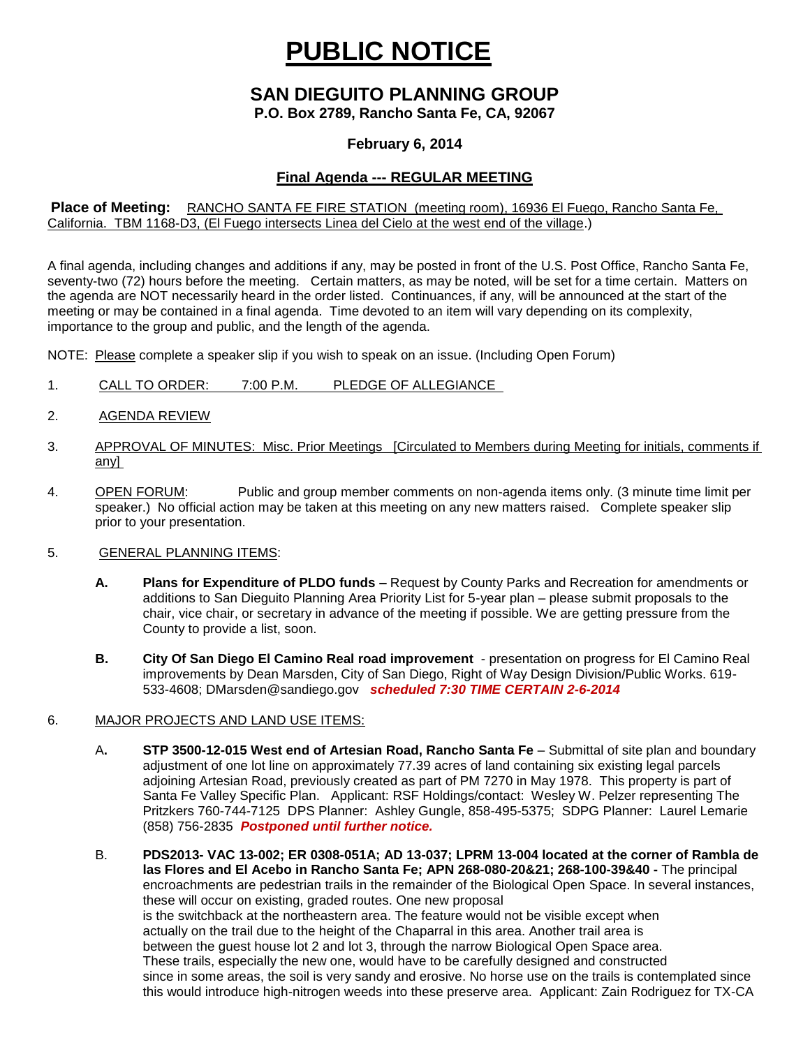# **PUBLIC NOTICE**

# **SAN DIEGUITO PLANNING GROUP**

**P.O. Box 2789, Rancho Santa Fe, CA, 92067**

### **February 6, 2014**

## **Final Agenda --- REGULAR MEETING**

#### **Place of Meeting:** RANCHO SANTA FE FIRE STATION (meeting room), 16936 El Fuego, Rancho Santa Fe, California. TBM 1168-D3, (El Fuego intersects Linea del Cielo at the west end of the village.)

A final agenda, including changes and additions if any, may be posted in front of the U.S. Post Office, Rancho Santa Fe, seventy-two (72) hours before the meeting. Certain matters, as may be noted, will be set for a time certain. Matters on the agenda are NOT necessarily heard in the order listed. Continuances, if any, will be announced at the start of the meeting or may be contained in a final agenda. Time devoted to an item will vary depending on its complexity, importance to the group and public, and the length of the agenda.

NOTE: Please complete a speaker slip if you wish to speak on an issue. (Including Open Forum)

- 1. CALL TO ORDER: 7:00 P.M. PLEDGE OF ALLEGIANCE
- 2. AGENDA REVIEW
- 3. APPROVAL OF MINUTES: Misc. Prior Meetings [Circulated to Members during Meeting for initials, comments if any]
- 4. OPEN FORUM: Public and group member comments on non-agenda items only. (3 minute time limit per speaker.) No official action may be taken at this meeting on any new matters raised. Complete speaker slip prior to your presentation.

#### 5. GENERAL PLANNING ITEMS:

- **A. Plans for Expenditure of PLDO funds –** Request by County Parks and Recreation for amendments or additions to San Dieguito Planning Area Priority List for 5-year plan – please submit proposals to the chair, vice chair, or secretary in advance of the meeting if possible. We are getting pressure from the County to provide a list, soon.
- **B. City Of San Diego El Camino Real road improvement**  presentation on progress for El Camino Real improvements by Dean Marsden, City of San Diego, Right of Way Design Division/Public Works. 619- 533-4608; [DMarsden@sandiego.gov](mailto:DMarsden@sandiego.gov) *scheduled 7:30 TIME CERTAIN 2-6-2014*

#### 6. MAJOR PROJECTS AND LAND USE ITEMS:

- A**. STP 3500-12-015 West end of Artesian Road, Rancho Santa Fe** Submittal of site plan and boundary adjustment of one lot line on approximately 77.39 acres of land containing six existing legal parcels adjoining Artesian Road, previously created as part of PM 7270 in May 1978. This property is part of Santa Fe Valley Specific Plan.Applicant: RSF Holdings/contact: Wesley W. Pelzer representing The Pritzkers 760-744-7125 DPS Planner: Ashley Gungle, 858-495-5375; SDPG Planner: Laurel Lemarie (858) 756-2835 *Postponed until further notice.*
- B. **PDS2013- VAC 13-002; ER 0308-051A; AD 13-037; LPRM 13-004 located at the corner of Rambla de las Flores and El Acebo in Rancho Santa Fe; APN 268-080-20&21; 268-100-39&40 -** The principal encroachments are pedestrian trails in the remainder of the Biological Open Space. In several instances, these will occur on existing, graded routes. One new proposal is the switchback at the northeastern area. The feature would not be visible except when actually on the trail due to the height of the Chaparral in this area. Another trail area is between the guest house lot 2 and lot 3, through the narrow Biological Open Space area. These trails, especially the new one, would have to be carefully designed and constructed since in some areas, the soil is very sandy and erosive. No horse use on the trails is contemplated since this would introduce high-nitrogen weeds into these preserve area. Applicant: Zain Rodriguez for TX-CA